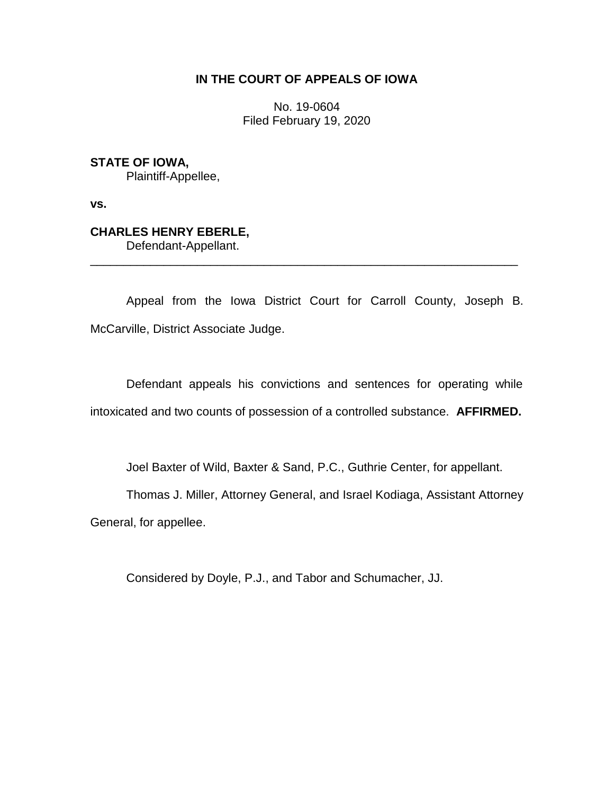# **IN THE COURT OF APPEALS OF IOWA**

No. 19-0604 Filed February 19, 2020

**STATE OF IOWA,**

Plaintiff-Appellee,

**vs.**

# **CHARLES HENRY EBERLE,**

Defendant-Appellant.

Appeal from the Iowa District Court for Carroll County, Joseph B. McCarville, District Associate Judge.

\_\_\_\_\_\_\_\_\_\_\_\_\_\_\_\_\_\_\_\_\_\_\_\_\_\_\_\_\_\_\_\_\_\_\_\_\_\_\_\_\_\_\_\_\_\_\_\_\_\_\_\_\_\_\_\_\_\_\_\_\_\_\_\_

Defendant appeals his convictions and sentences for operating while intoxicated and two counts of possession of a controlled substance. **AFFIRMED.**

Joel Baxter of Wild, Baxter & Sand, P.C., Guthrie Center, for appellant.

Thomas J. Miller, Attorney General, and Israel Kodiaga, Assistant Attorney

General, for appellee.

Considered by Doyle, P.J., and Tabor and Schumacher, JJ.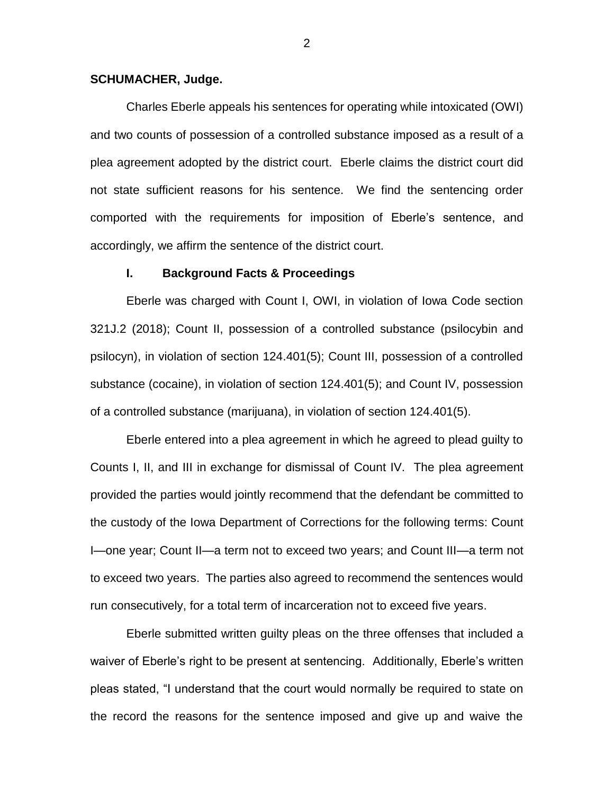## **SCHUMACHER, Judge.**

Charles Eberle appeals his sentences for operating while intoxicated (OWI) and two counts of possession of a controlled substance imposed as a result of a plea agreement adopted by the district court. Eberle claims the district court did not state sufficient reasons for his sentence. We find the sentencing order comported with the requirements for imposition of Eberle's sentence, and accordingly, we affirm the sentence of the district court.

#### **I. Background Facts & Proceedings**

Eberle was charged with Count I, OWI, in violation of Iowa Code section 321J.2 (2018); Count II, possession of a controlled substance (psilocybin and psilocyn), in violation of section 124.401(5); Count III, possession of a controlled substance (cocaine), in violation of section 124.401(5); and Count IV, possession of a controlled substance (marijuana), in violation of section 124.401(5).

Eberle entered into a plea agreement in which he agreed to plead guilty to Counts I, II, and III in exchange for dismissal of Count IV. The plea agreement provided the parties would jointly recommend that the defendant be committed to the custody of the Iowa Department of Corrections for the following terms: Count I—one year; Count II—a term not to exceed two years; and Count III—a term not to exceed two years. The parties also agreed to recommend the sentences would run consecutively, for a total term of incarceration not to exceed five years.

Eberle submitted written guilty pleas on the three offenses that included a waiver of Eberle's right to be present at sentencing. Additionally, Eberle's written pleas stated, "I understand that the court would normally be required to state on the record the reasons for the sentence imposed and give up and waive the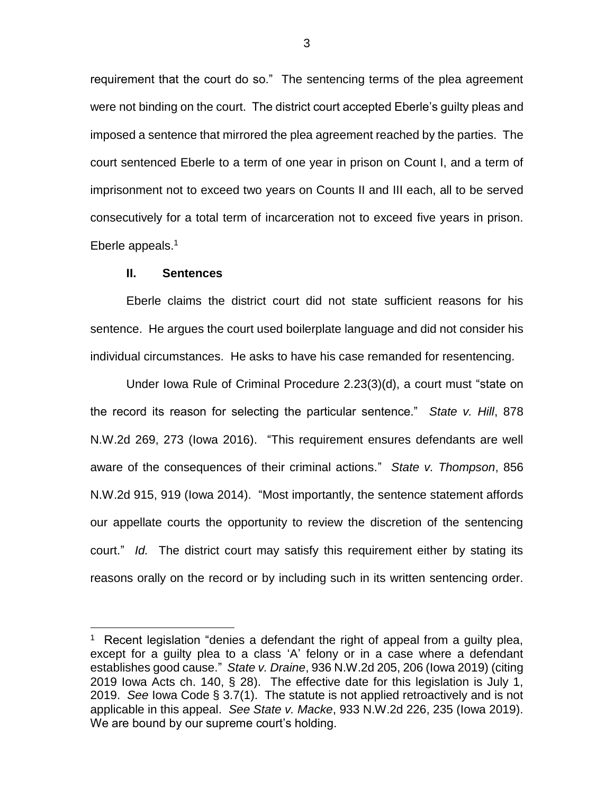requirement that the court do so." The sentencing terms of the plea agreement were not binding on the court. The district court accepted Eberle's guilty pleas and imposed a sentence that mirrored the plea agreement reached by the parties. The court sentenced Eberle to a term of one year in prison on Count I, and a term of imprisonment not to exceed two years on Counts II and III each, all to be served consecutively for a total term of incarceration not to exceed five years in prison. Eberle appeals. 1

### **II. Sentences**

 $\overline{a}$ 

Eberle claims the district court did not state sufficient reasons for his sentence. He argues the court used boilerplate language and did not consider his individual circumstances. He asks to have his case remanded for resentencing.

Under Iowa Rule of Criminal Procedure 2.23(3)(d), a court must "state on the record its reason for selecting the particular sentence." *State v. Hill*, 878 N.W.2d 269, 273 (Iowa 2016). "This requirement ensures defendants are well aware of the consequences of their criminal actions." *State v. Thompson*, 856 N.W.2d 915, 919 (Iowa 2014). "Most importantly, the sentence statement affords our appellate courts the opportunity to review the discretion of the sentencing court." *Id.* The district court may satisfy this requirement either by stating its reasons orally on the record or by including such in its written sentencing order.

<sup>&</sup>lt;sup>1</sup> Recent legislation "denies a defendant the right of appeal from a guilty plea, except for a guilty plea to a class 'A' felony or in a case where a defendant establishes good cause." *State v. Draine*, 936 N.W.2d 205, 206 (Iowa 2019) (citing 2019 Iowa Acts ch. 140, § 28). The effective date for this legislation is July 1, 2019. *See* Iowa Code § 3.7(1). The statute is not applied retroactively and is not applicable in this appeal. *See State v. Macke*, 933 N.W.2d 226, 235 (Iowa 2019). We are bound by our supreme court's holding.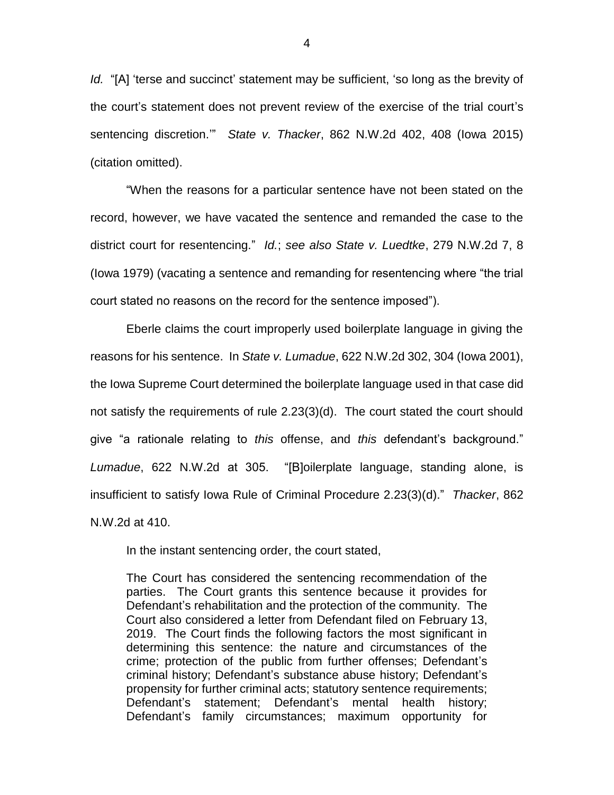*Id.* "[A] 'terse and succinct' statement may be sufficient, 'so long as the brevity of the court's statement does not prevent review of the exercise of the trial court's sentencing discretion.'" *State v. Thacker*, 862 N.W.2d 402, 408 (Iowa 2015) (citation omitted).

"When the reasons for a particular sentence have not been stated on the record, however, we have vacated the sentence and remanded the case to the district court for resentencing." *Id.*; *see also State v. Luedtke*, 279 N.W.2d 7, 8 (Iowa 1979) (vacating a sentence and remanding for resentencing where "the trial court stated no reasons on the record for the sentence imposed").

Eberle claims the court improperly used boilerplate language in giving the reasons for his sentence. In *State v. Lumadue*, 622 N.W.2d 302, 304 (Iowa 2001), the Iowa Supreme Court determined the boilerplate language used in that case did not satisfy the requirements of rule 2.23(3)(d). The court stated the court should give "a rationale relating to *this* offense, and *this* defendant's background." *Lumadue*, 622 N.W.2d at 305. "[B]oilerplate language, standing alone, is insufficient to satisfy Iowa Rule of Criminal Procedure 2.23(3)(d)." *Thacker*, 862 N.W.2d at 410.

In the instant sentencing order, the court stated,

The Court has considered the sentencing recommendation of the parties. The Court grants this sentence because it provides for Defendant's rehabilitation and the protection of the community. The Court also considered a letter from Defendant filed on February 13, 2019. The Court finds the following factors the most significant in determining this sentence: the nature and circumstances of the crime; protection of the public from further offenses; Defendant's criminal history; Defendant's substance abuse history; Defendant's propensity for further criminal acts; statutory sentence requirements; Defendant's statement; Defendant's mental health history; Defendant's family circumstances; maximum opportunity for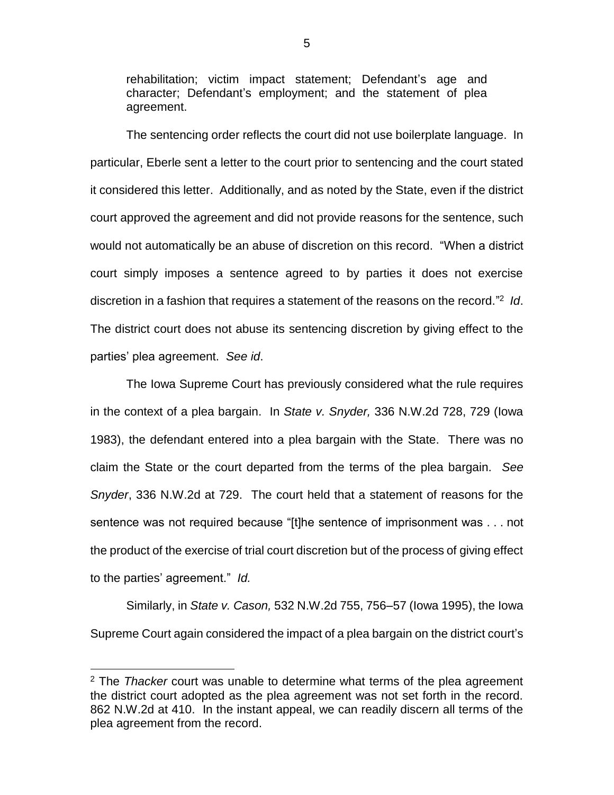rehabilitation; victim impact statement; Defendant's age and character; Defendant's employment; and the statement of plea agreement.

The sentencing order reflects the court did not use boilerplate language. In particular, Eberle sent a letter to the court prior to sentencing and the court stated it considered this letter. Additionally, and as noted by the State, even if the district court approved the agreement and did not provide reasons for the sentence, such would not automatically be an abuse of discretion on this record. "When a district court simply imposes a sentence agreed to by parties it does not exercise discretion in a fashion that requires a statement of the reasons on the record." 2 *Id*. The district court does not abuse its sentencing discretion by giving effect to the parties' plea agreement. *See id*.

The Iowa Supreme Court has previously considered what the rule requires in the context of a plea bargain. In *State v. Snyder,* 336 N.W.2d 728, 729 (Iowa 1983), the defendant entered into a plea bargain with the State. There was no claim the State or the court departed from the terms of the plea bargain. *See Snyder*, 336 N.W.2d at 729. The court held that a statement of reasons for the sentence was not required because "[t]he sentence of imprisonment was . . . not the product of the exercise of trial court discretion but of the process of giving effect to the parties' agreement." *Id.*

Similarly, in *State v. Cason,* 532 N.W.2d 755, 756–57 (Iowa 1995), the Iowa Supreme Court again considered the impact of a plea bargain on the district court's

 $\overline{a}$ 

<sup>2</sup> The *Thacker* court was unable to determine what terms of the plea agreement the district court adopted as the plea agreement was not set forth in the record. 862 N.W.2d at 410. In the instant appeal, we can readily discern all terms of the plea agreement from the record.